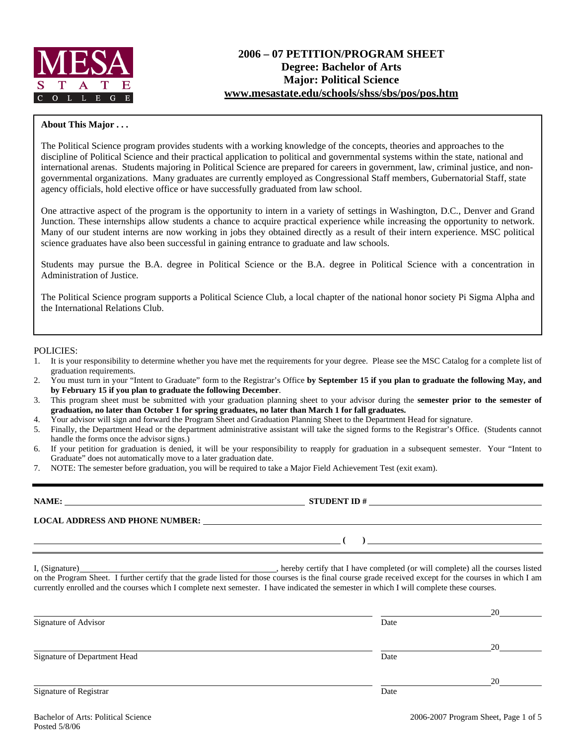

#### **About This Major . . .**

The Political Science program provides students with a working knowledge of the concepts, theories and approaches to the discipline of Political Science and their practical application to political and governmental systems within the state, national and international arenas. Students majoring in Political Science are prepared for careers in government, law, criminal justice, and nongovernmental organizations. Many graduates are currently employed as Congressional Staff members, Gubernatorial Staff, state agency officials, hold elective office or have successfully graduated from law school.

One attractive aspect of the program is the opportunity to intern in a variety of settings in Washington, D.C., Denver and Grand Junction. These internships allow students a chance to acquire practical experience while increasing the opportunity to network. Many of our student interns are now working in jobs they obtained directly as a result of their intern experience. MSC political science graduates have also been successful in gaining entrance to graduate and law schools.

Students may pursue the B.A. degree in Political Science or the B.A. degree in Political Science with a concentration in Administration of Justice.

The Political Science program supports a Political Science Club, a local chapter of the national honor society Pi Sigma Alpha and the International Relations Club.

#### POLICIES:

- 1. It is your responsibility to determine whether you have met the requirements for your degree. Please see the MSC Catalog for a complete list of graduation requirements.
- 2. You must turn in your "Intent to Graduate" form to the Registrar's Office **by September 15 if you plan to graduate the following May, and by February 15 if you plan to graduate the following December**.
- 3. This program sheet must be submitted with your graduation planning sheet to your advisor during the **semester prior to the semester of graduation, no later than October 1 for spring graduates, no later than March 1 for fall graduates.**
- 4. Your advisor will sign and forward the Program Sheet and Graduation Planning Sheet to the Department Head for signature.
- 5. Finally, the Department Head or the department administrative assistant will take the signed forms to the Registrar's Office. (Students cannot handle the forms once the advisor signs.)
- 6. If your petition for graduation is denied, it will be your responsibility to reapply for graduation in a subsequent semester. Your "Intent to Graduate" does not automatically move to a later graduation date.
- 7. NOTE: The semester before graduation, you will be required to take a Major Field Achievement Test (exit exam).

# **NAME: STUDENT ID # STUDENT ID # STUDENT ID # STUDENT ID # STUDENT ID # STUDENT ID # STUDENT ID # STUDENT ID # STUDENT ID # STUDENT 1D + STUDENT 1D + STUDENT 1D + STUDENT 1D + STUDENT 1D + STU**

**LOCAL ADDRESS AND PHONE NUMBER:**

I, (Signature) , hereby certify that I have completed (or will complete) all the courses listed on the Program Sheet. I further certify that the grade listed for those courses is the final course grade received except for the courses in which I am currently enrolled and the courses which I complete next semester. I have indicated the semester in which I will complete these courses.

|                              |      | 20 |
|------------------------------|------|----|
| Signature of Advisor         | Date |    |
|                              |      | 20 |
| Signature of Department Head | Date |    |
|                              |      | 20 |
| Signature of Registrar       | Date |    |

 **( )**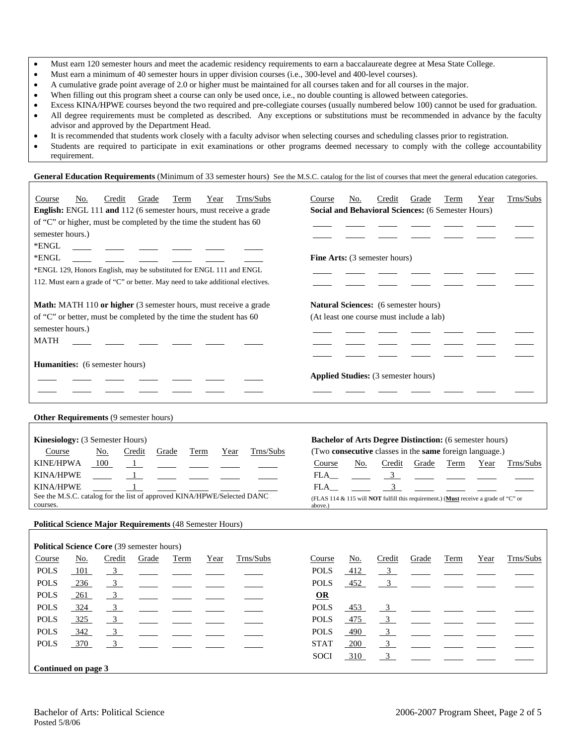- Must earn 120 semester hours and meet the academic residency requirements to earn a baccalaureate degree at Mesa State College.
- Must earn a minimum of 40 semester hours in upper division courses (i.e., 300-level and 400-level courses).
- A cumulative grade point average of 2.0 or higher must be maintained for all courses taken and for all courses in the major.
- When filling out this program sheet a course can only be used once, i.e., no double counting is allowed between categories.
- Excess KINA/HPWE courses beyond the two required and pre-collegiate courses (usually numbered below 100) cannot be used for graduation. • All degree requirements must be completed as described. Any exceptions or substitutions must be recommended in advance by the faculty advisor and approved by the Department Head.
- It is recommended that students work closely with a faculty advisor when selecting courses and scheduling classes prior to registration.
- Students are required to participate in exit examinations or other programs deemed necessary to comply with the college accountability requirement.

General Education Requirements (Minimum of 33 semester hours) See the M.S.C. catalog for the list of courses that meet the general education categories.

| Trns/Subs<br>Course<br>Credit<br>Grade<br>No.<br>Term<br>Year<br>English: ENGL 111 and 112 (6 semester hours, must receive a grade<br>of "C" or higher, must be completed by the time the student has 60<br>semester hours.)<br>*ENGL<br>*ENGL<br>*ENGL 129, Honors English, may be substituted for ENGL 111 and ENGL<br>112. Must earn a grade of "C" or better. May need to take additional electives. | Trns/Subs<br>Course<br>Credit<br>Grade<br>Term<br>Year<br>No.<br><b>Social and Behavioral Sciences: (6 Semester Hours)</b><br><b>Fine Arts:</b> (3 semester hours)                                                                                                                                                                                                 |
|----------------------------------------------------------------------------------------------------------------------------------------------------------------------------------------------------------------------------------------------------------------------------------------------------------------------------------------------------------------------------------------------------------|--------------------------------------------------------------------------------------------------------------------------------------------------------------------------------------------------------------------------------------------------------------------------------------------------------------------------------------------------------------------|
| Math: MATH 110 or higher (3 semester hours, must receive a grade                                                                                                                                                                                                                                                                                                                                         | <b>Natural Sciences:</b> (6 semester hours)                                                                                                                                                                                                                                                                                                                        |
| of "C" or better, must be completed by the time the student has 60                                                                                                                                                                                                                                                                                                                                       | (At least one course must include a lab)                                                                                                                                                                                                                                                                                                                           |
| semester hours.)                                                                                                                                                                                                                                                                                                                                                                                         |                                                                                                                                                                                                                                                                                                                                                                    |
| <b>MATH</b>                                                                                                                                                                                                                                                                                                                                                                                              |                                                                                                                                                                                                                                                                                                                                                                    |
| <b>Humanities:</b> (6 semester hours)                                                                                                                                                                                                                                                                                                                                                                    |                                                                                                                                                                                                                                                                                                                                                                    |
|                                                                                                                                                                                                                                                                                                                                                                                                          | <b>Applied Studies:</b> (3 semester hours)                                                                                                                                                                                                                                                                                                                         |
|                                                                                                                                                                                                                                                                                                                                                                                                          |                                                                                                                                                                                                                                                                                                                                                                    |
|                                                                                                                                                                                                                                                                                                                                                                                                          |                                                                                                                                                                                                                                                                                                                                                                    |
| <b>Other Requirements (9 semester hours)</b>                                                                                                                                                                                                                                                                                                                                                             |                                                                                                                                                                                                                                                                                                                                                                    |
| Kinesiology: (3 Semester Hours)<br>Trns/Subs<br>Course<br>No.<br>Credit<br>Grade<br>Term<br>Year<br><b>KINE/HPWA</b><br>100<br>$\blacksquare$<br><b>KINA/HPWE</b><br>$\overline{1}$<br><b>KINA/HPWE</b><br>1<br>See the M.S.C. catalog for the list of approved KINA/HPWE/Selected DANC<br>courses.                                                                                                      | <b>Bachelor of Arts Degree Distinction:</b> (6 semester hours)<br>(Two consecutive classes in the same foreign language.)<br>No.<br>Credit<br>Trns/Subs<br>Course<br>Grade<br>Term<br>Year<br>$\overline{\mathbf{3}}$<br>$FLA$ <sub>___</sub><br>3<br>FLA<br>(FLAS 114 & 115 will <b>NOT</b> fulfill this requirement.) (Must receive a grade of "C" or<br>above.) |
|                                                                                                                                                                                                                                                                                                                                                                                                          |                                                                                                                                                                                                                                                                                                                                                                    |
| <b>Political Science Major Requirements (48 Semester Hours)</b>                                                                                                                                                                                                                                                                                                                                          |                                                                                                                                                                                                                                                                                                                                                                    |
| Political Science Core (39 semester hours)                                                                                                                                                                                                                                                                                                                                                               |                                                                                                                                                                                                                                                                                                                                                                    |
| Credit<br>Grade<br>Trns/Subs<br>Course<br>No.<br>Term<br>Year                                                                                                                                                                                                                                                                                                                                            | Trns/Subs<br>Course<br>No.<br>Credit<br>Grade<br>Term<br>Year                                                                                                                                                                                                                                                                                                      |
| <b>POLS</b><br>101<br>$\overline{3}$                                                                                                                                                                                                                                                                                                                                                                     | <b>POLS</b><br>412<br>$\mathbf{3}$                                                                                                                                                                                                                                                                                                                                 |
| <b>POLS</b><br>$\overline{3}$<br>236                                                                                                                                                                                                                                                                                                                                                                     | 452<br>3<br><b>POLS</b>                                                                                                                                                                                                                                                                                                                                            |
| $\overline{3}$<br><b>POLS</b><br>261                                                                                                                                                                                                                                                                                                                                                                     | <b>OR</b>                                                                                                                                                                                                                                                                                                                                                          |
| $\mathbf{3}$<br><b>POLS</b><br>324<br><b>POLS</b><br>$\mathbf{3}$<br>325                                                                                                                                                                                                                                                                                                                                 | <b>POLS</b><br>453<br>$\mathbf{3}$<br>3 <sup>7</sup><br><b>POLS</b><br>475                                                                                                                                                                                                                                                                                         |
| <b>POLS</b><br>342<br>3                                                                                                                                                                                                                                                                                                                                                                                  | $\mathbf{3}$<br><b>POLS</b><br>490                                                                                                                                                                                                                                                                                                                                 |
| <b>POLS</b><br>370<br>$\mathfrak{Z}$                                                                                                                                                                                                                                                                                                                                                                     | <b>STAT</b><br>$\mathbf{3}$<br>200                                                                                                                                                                                                                                                                                                                                 |
|                                                                                                                                                                                                                                                                                                                                                                                                          | 3<br><b>SOCI</b><br>310                                                                                                                                                                                                                                                                                                                                            |
|                                                                                                                                                                                                                                                                                                                                                                                                          |                                                                                                                                                                                                                                                                                                                                                                    |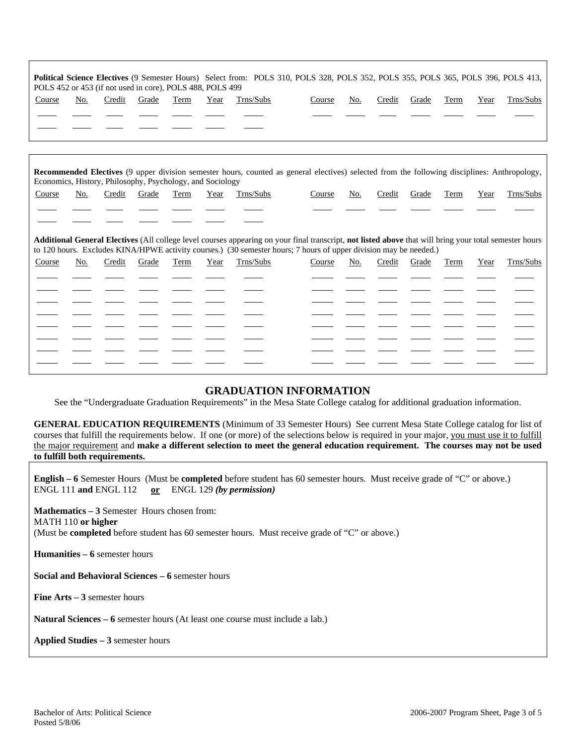| <b>Political Science Electives</b> (9 Semester Hours) Select from: POLS 310, POLS 328, POLS 352, POLS 355, POLS 365, POLS 396, POLS 413,<br>POLS 452 or 453 (if not used in core), POLS 488, POLS 499 |     |        |       |      |      |           |        |     |        |       |      |      |           |
|-------------------------------------------------------------------------------------------------------------------------------------------------------------------------------------------------------|-----|--------|-------|------|------|-----------|--------|-----|--------|-------|------|------|-----------|
| Course                                                                                                                                                                                                | No. | Credit | Grade | Term | Year | Trns/Subs | Course | No. | Credit | Grade | Term | Year | Trns/Subs |
|                                                                                                                                                                                                       |     |        |       |      |      |           |        |     |        |       |      |      |           |
|                                                                                                                                                                                                       |     |        |       |      |      |           |        |     |        |       |      |      |           |
|                                                                                                                                                                                                       |     |        |       |      |      |           |        |     |        |       |      |      |           |

**Recommended Electives** (9 upper division semester hours, counted as general electives) selected from the following disciplines: Anthropology, Economics, History, Philosophy, Psychology, and Sociology Course No. Credit Grade Term Year Trns/Subs Course No. Credit Grade Term Year Trns/Subs

**Additional General Electives** (All college level courses appearing on your final transcript, **not listed above** that will bring your total semester hours to 120 hours. Excludes KINA/HPWE activity courses.) (30 semester hours; 7 hours of upper division may be needed.)

| Course | No. |  |  | Credit Grade Term Year Trns/Subs | Course |  |  | No. Credit Grade Term Year Trns/Subs |
|--------|-----|--|--|----------------------------------|--------|--|--|--------------------------------------|
|        |     |  |  |                                  |        |  |  |                                      |
|        |     |  |  |                                  |        |  |  |                                      |
|        |     |  |  |                                  |        |  |  |                                      |
|        |     |  |  |                                  |        |  |  |                                      |
|        |     |  |  |                                  |        |  |  |                                      |
|        |     |  |  |                                  |        |  |  |                                      |
|        |     |  |  |                                  |        |  |  |                                      |
|        |     |  |  |                                  |        |  |  |                                      |

### **GRADUATION INFORMATION**

See the "Undergraduate Graduation Requirements" in the Mesa State College catalog for additional graduation information.

**GENERAL EDUCATION REQUIREMENTS** (Minimum of 33 Semester Hours) See current Mesa State College catalog for list of courses that fulfill the requirements below. If one (or more) of the selections below is required in your major, you must use it to fulfill the major requirement and **make a different selection to meet the general education requirement. The courses may not be used to fulfill both requirements.**

**English – 6** Semester Hours (Must be **completed** before student has 60 semester hours. Must receive grade of "C" or above.) ENGL 111 **and** ENGL 112 **or** ENGL 129 *(by permission)*

**Mathematics – 3** Semester Hours chosen from: MATH 110 **or higher** (Must be **completed** before student has 60 semester hours. Must receive grade of "C" or above.)

**Humanities – 6** semester hours

 $\overline{a}$  $\overline{a}$ 

**Social and Behavioral Sciences – 6** semester hours

**Fine Arts – 3** semester hours

**Natural Sciences – 6** semester hours (At least one course must include a lab.)

**Applied Studies – 3** semester hours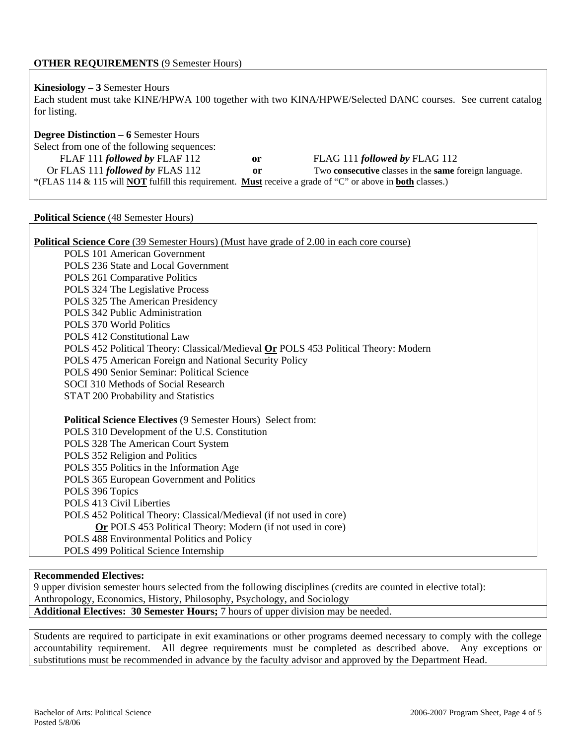## **OTHER REQUIREMENTS** (9 Semester Hours)

## **Kinesiology – 3** Semester Hours

Each student must take KINE/HPWA 100 together with two KINA/HPWE/Selected DANC courses. See current catalog for listing.

# **Degree Distinction – 6** Semester Hours Select from one of the following sequences: FLAF 111 *followed by* FLAF 112 **or** FLAG 111 *followed by* FLAG 112 Or FLAS 111 *followed by* FLAS 112 **or** Two **consecutive** classes in the **same** foreign language. \*(FLAS 114 & 115 will **NOT** fulfill this requirement. **Must** receive a grade of "C" or above in **both** classes.)

### **Political Science** (48 Semester Hours)

| <b>Political Science Core</b> (39 Semester Hours) (Must have grade of 2.00 in each core course) |
|-------------------------------------------------------------------------------------------------|
| <b>POLS</b> 101 American Government                                                             |
| POLS 236 State and Local Government                                                             |
| POLS 261 Comparative Politics                                                                   |
| POLS 324 The Legislative Process                                                                |
| POLS 325 The American Presidency                                                                |
| POLS 342 Public Administration                                                                  |
| <b>POLS 370 World Politics</b>                                                                  |
| <b>POLS 412 Constitutional Law</b>                                                              |
| POLS 452 Political Theory: Classical/Medieval Or POLS 453 Political Theory: Modern              |
| POLS 475 American Foreign and National Security Policy                                          |
| POLS 490 Senior Seminar: Political Science                                                      |
| SOCI 310 Methods of Social Research                                                             |
| <b>STAT 200 Probability and Statistics</b>                                                      |
|                                                                                                 |
| <b>Political Science Electives (9 Semester Hours) Select from:</b>                              |
| POLS 310 Development of the U.S. Constitution                                                   |
| POLS 328 The American Court System                                                              |
| POLS 352 Religion and Politics                                                                  |
| POLS 355 Politics in the Information Age                                                        |
| POLS 365 European Government and Politics                                                       |
| POLS 396 Topics                                                                                 |
| POLS 413 Civil Liberties                                                                        |
| POLS 452 Political Theory: Classical/Medieval (if not used in core)                             |
| Or POLS 453 Political Theory: Modern (if not used in core)                                      |
| POLS 488 Environmental Politics and Policy                                                      |
| POLS 499 Political Science Internship                                                           |
|                                                                                                 |
| <b>Recommended Electives:</b>                                                                   |

9 upper division semester hours selected from the following disciplines (credits are counted in elective total): Anthropology, Economics, History, Philosophy, Psychology, and Sociology

**Additional Electives: 30 Semester Hours;** 7 hours of upper division may be needed.

Students are required to participate in exit examinations or other programs deemed necessary to comply with the college accountability requirement. All degree requirements must be completed as described above. Any exceptions or substitutions must be recommended in advance by the faculty advisor and approved by the Department Head.